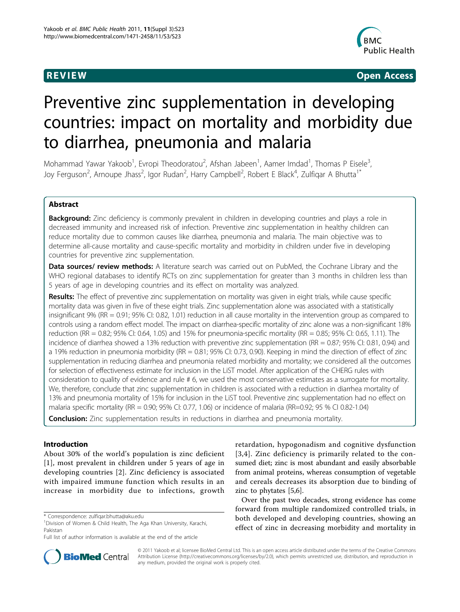

**REVIEW CONSTRUCTION CONSTRUCTION CONSTRUCTS** 

# Preventive zinc supplementation in developing countries: impact on mortality and morbidity due to diarrhea, pneumonia and malaria

Mohammad Yawar Yakoob<sup>1</sup>, Evropi Theodoratou<sup>2</sup>, Afshan Jabeen<sup>1</sup>, Aamer Imdad<sup>1</sup>, Thomas P Eisele<sup>3</sup> , Joy Ferguson<sup>2</sup>, Arnoupe Jhass<sup>2</sup>, Igor Rudan<sup>2</sup>, Harry Campbell<sup>2</sup>, Robert E Black<sup>4</sup>, Zulfiqar A Bhutta<sup>1\*</sup>

# Abstract

**Background:** Zinc deficiency is commonly prevalent in children in developing countries and plays a role in decreased immunity and increased risk of infection. Preventive zinc supplementation in healthy children can reduce mortality due to common causes like diarrhea, pneumonia and malaria. The main objective was to determine all-cause mortality and cause-specific mortality and morbidity in children under five in developing countries for preventive zinc supplementation.

Data sources/ review methods: A literature search was carried out on PubMed, the Cochrane Library and the WHO regional databases to identify RCTs on zinc supplementation for greater than 3 months in children less than 5 years of age in developing countries and its effect on mortality was analyzed.

Results: The effect of preventive zinc supplementation on mortality was given in eight trials, while cause specific mortality data was given in five of these eight trials. Zinc supplementation alone was associated with a statistically insignificant 9% (RR = 0.91; 95% CI: 0.82, 1.01) reduction in all cause mortality in the intervention group as compared to controls using a random effect model. The impact on diarrhea-specific mortality of zinc alone was a non-significant 18% reduction (RR = 0.82; 95% CI: 0.64, 1.05) and 15% for pneumonia-specific mortality (RR = 0.85; 95% CI: 0.65, 1.11). The incidence of diarrhea showed a 13% reduction with preventive zinc supplementation (RR = 0.87; 95% CI: 0.81, 0.94) and a 19% reduction in pneumonia morbidity (RR = 0.81; 95% CI: 0.73, 0.90). Keeping in mind the direction of effect of zinc supplementation in reducing diarrhea and pneumonia related morbidity and mortality; we considered all the outcomes for selection of effectiveness estimate for inclusion in the LiST model. After application of the CHERG rules with consideration to quality of evidence and rule # 6, we used the most conservative estimates as a surrogate for mortality. We, therefore, conclude that zinc supplementation in children is associated with a reduction in diarrhea mortality of 13% and pneumonia mortality of 15% for inclusion in the LiST tool. Preventive zinc supplementation had no effect on malaria specific mortality (RR = 0.90; 95% CI: 0.77, 1.06) or incidence of malaria (RR=0.92; 95 % CI 0.82-1.04)

**Conclusion:** Zinc supplementation results in reductions in diarrhea and pneumonia mortality.

# Introduction

About 30% of the world's population is zinc deficient [[1](#page-8-0)], most prevalent in children under 5 years of age in developing countries [[2](#page-8-0)]. Zinc deficiency is associated with impaired immune function which results in an increase in morbidity due to infections, growth



Over the past two decades, strong evidence has come forward from multiple randomized controlled trials, in both developed and developing countries, showing an effect of zinc in decreasing morbidity and mortality in



© 2011 Yakoob et al; licensee BioMed Central Ltd. This is an open access article distributed under the terms of the Creative Commons Attribution License [\(http://creativecommons.org/licenses/by/2.0](http://creativecommons.org/licenses/by/2.0)), which permits unrestricted use, distribution, and reproduction in any medium, provided the original work is properly cited.

<sup>\*</sup> Correspondence: [zulfiqar.bhutta@aku.edu](mailto:zulfiqar.bhutta@aku.edu)

<sup>&</sup>lt;sup>1</sup> Division of Women & Child Health, The Aga Khan University, Karachi, Pakistan

Full list of author information is available at the end of the article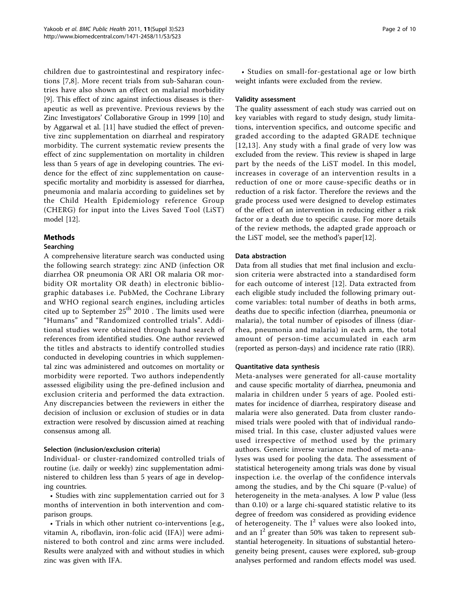children due to gastrointestinal and respiratory infections [\[7](#page-8-0),[8\]](#page-8-0). More recent trials from sub-Saharan countries have also shown an effect on malarial morbidity [[9\]](#page-9-0). This effect of zinc against infectious diseases is therapeutic as well as preventive. Previous reviews by the Zinc Investigators' Collaborative Group in 1999 [\[10](#page-9-0)] and by Aggarwal et al. [[11](#page-9-0)] have studied the effect of preventive zinc supplementation on diarrheal and respiratory morbidity. The current systematic review presents the effect of zinc supplementation on mortality in children less than 5 years of age in developing countries. The evidence for the effect of zinc supplementation on causespecific mortality and morbidity is assessed for diarrhea, pneumonia and malaria according to guidelines set by the Child Health Epidemiology reference Group (CHERG) for input into the Lives Saved Tool (LiST) model [\[12](#page-9-0)].

# **Methods**

# Searching

A comprehensive literature search was conducted using the following search strategy: zinc AND (infection OR diarrhea OR pneumonia OR ARI OR malaria OR morbidity OR mortality OR death) in electronic bibliographic databases i.e. PubMed, the Cochrane Library and WHO regional search engines, including articles cited up to September  $25<sup>th</sup> 2010$ . The limits used were "Humans" and "Randomized controlled trials". Additional studies were obtained through hand search of references from identified studies. One author reviewed the titles and abstracts to identify controlled studies conducted in developing countries in which supplemental zinc was administered and outcomes on mortality or morbidity were reported. Two authors independently assessed eligibility using the pre-defined inclusion and exclusion criteria and performed the data extraction. Any discrepancies between the reviewers in either the decision of inclusion or exclusion of studies or in data extraction were resolved by discussion aimed at reaching consensus among all.

# Selection (inclusion/exclusion criteria)

Individual- or cluster-randomized controlled trials of routine (i.e. daily or weekly) zinc supplementation administered to children less than 5 years of age in developing countries.

• Studies with zinc supplementation carried out for 3 months of intervention in both intervention and comparison groups.

• Trials in which other nutrient co-interventions [e.g., vitamin A, riboflavin, iron-folic acid (IFA)] were administered to both control and zinc arms were included. Results were analyzed with and without studies in which zinc was given with IFA.

• Studies on small-for-gestational age or low birth weight infants were excluded from the review.

#### Validity assessment

The quality assessment of each study was carried out on key variables with regard to study design, study limitations, intervention specifics, and outcome specific and graded according to the adapted GRADE technique [[12,13](#page-9-0)]. Any study with a final grade of very low was excluded from the review. This review is shaped in large part by the needs of the LiST model. In this model, increases in coverage of an intervention results in a reduction of one or more cause-specific deaths or in reduction of a risk factor. Therefore the reviews and the grade process used were designed to develop estimates of the effect of an intervention in reducing either a risk factor or a death due to specific cause. For more details of the review methods, the adapted grade approach or the LiST model, see the method's paper[\[12\]](#page-9-0).

# Data abstraction

Data from all studies that met final inclusion and exclusion criteria were abstracted into a standardised form for each outcome of interest [\[12\]](#page-9-0). Data extracted from each eligible study included the following primary outcome variables: total number of deaths in both arms, deaths due to specific infection (diarrhea, pneumonia or malaria), the total number of episodes of illness (diarrhea, pneumonia and malaria) in each arm, the total amount of person-time accumulated in each arm (reported as person-days) and incidence rate ratio (IRR).

# Quantitative data synthesis

Meta-analyses were generated for all-cause mortality and cause specific mortality of diarrhea, pneumonia and malaria in children under 5 years of age. Pooled estimates for incidence of diarrhea, respiratory disease and malaria were also generated. Data from cluster randomised trials were pooled with that of individual randomised trial. In this case, cluster adjusted values were used irrespective of method used by the primary authors. Generic inverse variance method of meta-analyses was used for pooling the data. The assessment of statistical heterogeneity among trials was done by visual inspection i.e. the overlap of the confidence intervals among the studies, and by the Chi square (P-value) of heterogeneity in the meta-analyses. A low P value (less than 0.10) or a large chi-squared statistic relative to its degree of freedom was considered as providing evidence of heterogeneity. The  $I^2$  values were also looked into, and an  $I^2$  greater than 50% was taken to represent substantial heterogeneity. In situations of substantial heterogeneity being present, causes were explored, sub-group analyses performed and random effects model was used.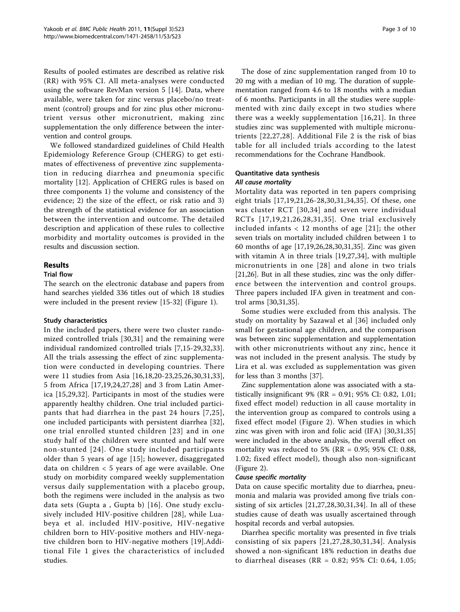Results of pooled estimates are described as relative risk (RR) with 95% CI. All meta-analyses were conducted using the software RevMan version 5 [[14](#page-9-0)]. Data, where available, were taken for zinc versus placebo/no treatment (control) groups and for zinc plus other micronutrient versus other micronutrient, making zinc supplementation the only difference between the intervention and control groups.

We followed standardized guidelines of Child Health Epidemiology Reference Group (CHERG) to get estimates of effectiveness of preventive zinc supplementation in reducing diarrhea and pneumonia specific mortality [\[12](#page-9-0)]. Application of CHERG rules is based on three components 1) the volume and consistency of the evidence; 2) the size of the effect, or risk ratio and 3) the strength of the statistical evidence for an association between the intervention and outcome. The detailed description and application of these rules to collective morbidity and mortality outcomes is provided in the results and discussion section.

#### Results

#### Trial flow

The search on the electronic database and papers from hand searches yielded 336 titles out of which 18 studies were included in the present review [\[15](#page-9-0)-[32](#page-9-0)] (Figure [1\)](#page-3-0).

#### Study characteristics

In the included papers, there were two cluster randomized controlled trials [[30,31](#page-9-0)] and the remaining were individual randomized controlled trials [\[7](#page-8-0),[15-29](#page-9-0),[32,33](#page-9-0)]. All the trials assessing the effect of zinc supplementation were conducted in developing countries. There were 11 studies from Asia [[16,18](#page-9-0),[20-23](#page-9-0),[25,26,30](#page-9-0),[31,33](#page-9-0)], 5 from Africa [\[17](#page-9-0),[19,24,27,28](#page-9-0)] and 3 from Latin America [\[15](#page-9-0),[29,32](#page-9-0)]. Participants in most of the studies were apparently healthy children. One trial included participants that had diarrhea in the past 24 hours [[7,](#page-8-0)[25\]](#page-9-0), one included participants with persistent diarrhea [[32](#page-9-0)], one trial enrolled stunted children [[23](#page-9-0)] and in one study half of the children were stunted and half were non-stunted [[24](#page-9-0)]. One study included participants older than 5 years of age [[15\]](#page-9-0); however, disaggregated data on children < 5 years of age were available. One study on morbidity compared weekly supplementation versus daily supplementation with a placebo group, both the regimens were included in the analysis as two data sets (Gupta a , Gupta b) [\[16\]](#page-9-0). One study exclusively included HIV-positive children [[28](#page-9-0)], while Luabeya et al. included HIV-positive, HIV-negative children born to HIV-positive mothers and HIV-negative children born to HIV-negative mothers [[19\]](#page-9-0).Additional File [1](#page-8-0) gives the characteristics of included studies.

The dose of zinc supplementation ranged from 10 to 20 mg with a median of 10 mg. The duration of supplementation ranged from 4.6 to 18 months with a median of 6 months. Participants in all the studies were supplemented with zinc daily except in two studies where there was a weekly supplementation [[16](#page-9-0),[21](#page-9-0)]. In three studies zinc was supplemented with multiple micronutrients [[22](#page-9-0),[27,28\]](#page-9-0). Additional File [2](#page-8-0) is the risk of bias table for all included trials according to the latest recommendations for the Cochrane Handbook.

# Quantitative data synthesis All cause mortality

Mortality data was reported in ten papers comprising eight trials [[17](#page-9-0),[19,21,26](#page-9-0)-[28](#page-9-0),[30](#page-9-0),[31,34](#page-9-0),[35](#page-9-0)]. Of these, one was cluster RCT [[30,34](#page-9-0)] and seven were individual RCTs [[17,19,21](#page-9-0),[26,28,31](#page-9-0),[35\]](#page-9-0). One trial exclusively included infants  $< 12$  months of age [[21](#page-9-0)]; the other seven trials on mortality included children between 1 to 60 months of age [\[17](#page-9-0),[19,26,28,30,31,35](#page-9-0)]. Zinc was given with vitamin A in three trials [\[19,27,34](#page-9-0)], with multiple micronutrients in one [[28\]](#page-9-0) and alone in two trials [[21,26\]](#page-9-0). But in all these studies, zinc was the only difference between the intervention and control groups. Three papers included IFA given in treatment and control arms [[30,31](#page-9-0),[35](#page-9-0)].

Some studies were excluded from this analysis. The study on mortality by Sazawal et al [\[36\]](#page-9-0) included only small for gestational age children, and the comparison was between zinc supplementation and supplementation with other micronutrients without any zinc, hence it was not included in the present analysis. The study by Lira et al. was excluded as supplementation was given for less than 3 months [\[37\]](#page-9-0).

Zinc supplementation alone was associated with a statistically insignificant 9% (RR = 0.91; 95% CI: 0.82, 1.01; fixed effect model) reduction in all cause mortality in the intervention group as compared to controls using a fixed effect model (Figure [2\)](#page-4-0). When studies in which zinc was given with iron and folic acid (IFA) [[30,31,35](#page-9-0)] were included in the above analysis, the overall effect on mortality was reduced to 5% ( $RR = 0.95$ ; 95% CI: 0.88, 1.02; fixed effect model), though also non-significant (Figure [2\)](#page-4-0).

#### Cause specific mortality

Data on cause specific mortality due to diarrhea, pneumonia and malaria was provided among five trials consisting of six articles [[21,27,28](#page-9-0),[30,31,34](#page-9-0)]. In all of these studies cause of death was usually ascertained through hospital records and verbal autopsies.

Diarrhea specific mortality was presented in five trials consisting of six papers [[21,27,28,30,31,34\]](#page-9-0). Analysis showed a non-significant 18% reduction in deaths due to diarrheal diseases (RR = 0.82; 95% CI: 0.64, 1.05;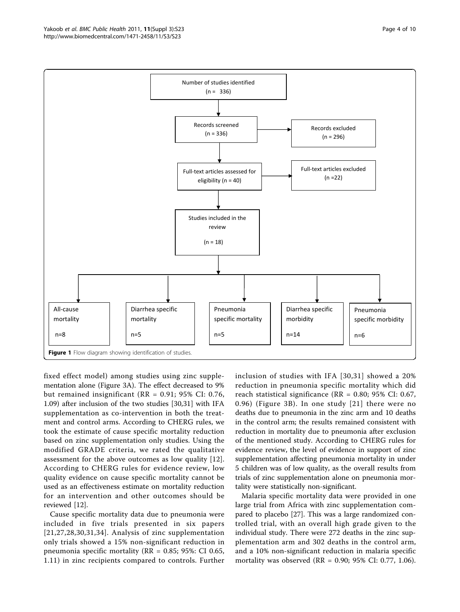<span id="page-3-0"></span>

fixed effect model) among studies using zinc supplementation alone (Figure [3A\)](#page-5-0). The effect decreased to 9% but remained insignificant (RR = 0.91; 95% CI: 0.76, 1.09) after inclusion of the two studies [[30,31](#page-9-0)] with IFA supplementation as co-intervention in both the treatment and control arms. According to CHERG rules, we took the estimate of cause specific mortality reduction based on zinc supplementation only studies. Using the modified GRADE criteria, we rated the qualitative assessment for the above outcomes as low quality [[12](#page-9-0)]. According to CHERG rules for evidence review, low quality evidence on cause specific mortality cannot be used as an effectiveness estimate on mortality reduction for an intervention and other outcomes should be reviewed [[12\]](#page-9-0).

Cause specific mortality data due to pneumonia were included in five trials presented in six papers [[21,27](#page-9-0),[28](#page-9-0),[30](#page-9-0),[31](#page-9-0),[34\]](#page-9-0). Analysis of zinc supplementation only trials showed a 15% non-significant reduction in pneumonia specific mortality (RR = 0.85; 95%: CI 0.65, 1.11) in zinc recipients compared to controls. Further inclusion of studies with IFA [[30,31](#page-9-0)] showed a 20% reduction in pneumonia specific mortality which did reach statistical significance (RR = 0.80; 95% CI: 0.67, 0.96) (Figure [3B](#page-5-0)). In one study [[21\]](#page-9-0) there were no deaths due to pneumonia in the zinc arm and 10 deaths in the control arm; the results remained consistent with reduction in mortality due to pneumonia after exclusion of the mentioned study. According to CHERG rules for evidence review, the level of evidence in support of zinc supplementation affecting pneumonia mortality in under 5 children was of low quality, as the overall results from trials of zinc supplementation alone on pneumonia mortality were statistically non-significant.

Malaria specific mortality data were provided in one large trial from Africa with zinc supplementation compared to placebo [[27\]](#page-9-0). This was a large randomized controlled trial, with an overall high grade given to the individual study. There were 272 deaths in the zinc supplementation arm and 302 deaths in the control arm, and a 10% non-significant reduction in malaria specific mortality was observed (RR = 0.90; 95% CI: 0.77, 1.06).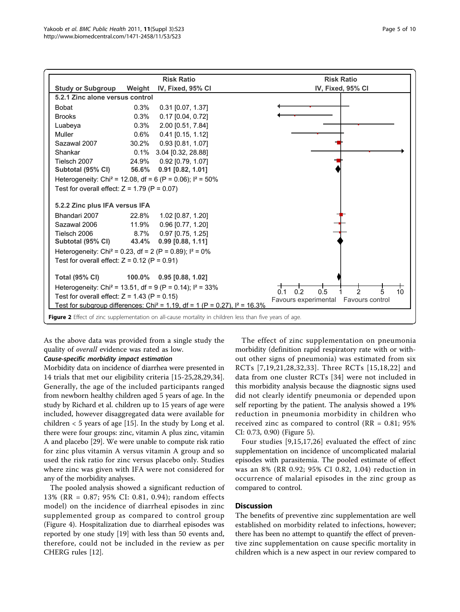<span id="page-4-0"></span>

As the above data was provided from a single study the quality of overall evidence was rated as low.

#### Cause-specific morbidity impact estimation

Morbidity data on incidence of diarrhea were presented in 14 trials that met our eligibility criteria [\[15](#page-9-0)-[25,28,29,34](#page-9-0)]. Generally, the age of the included participants ranged from newborn healthy children aged 5 years of age. In the study by Richard et al. children up to 15 years of age were included, however disaggregated data were available for children  $<$  5 years of age [[15\]](#page-9-0). In the study by Long et al. there were four groups: zinc, vitamin A plus zinc, vitamin A and placebo [\[29\]](#page-9-0). We were unable to compute risk ratio for zinc plus vitamin A versus vitamin A group and so used the risk ratio for zinc versus placebo only. Studies where zinc was given with IFA were not considered for any of the morbidity analyses.

The pooled analysis showed a significant reduction of 13% (RR = 0.87; 95% CI: 0.81, 0.94); random effects model) on the incidence of diarrheal episodes in zinc supplemented group as compared to control group (Figure [4\)](#page-6-0). Hospitalization due to diarrheal episodes was reported by one study [\[19](#page-9-0)] with less than 50 events and, therefore, could not be included in the review as per CHERG rules [[12\]](#page-9-0).

The effect of zinc supplementation on pneumonia morbidity (definition rapid respiratory rate with or without other signs of pneumonia) was estimated from six RCTs [[7,](#page-8-0)[19,21,28](#page-9-0),[32](#page-9-0),[33](#page-9-0)]. Three RCTs [[15](#page-9-0),[18](#page-9-0),[22\]](#page-9-0) and data from one cluster RCTs [[34](#page-9-0)] were not included in this morbidity analysis because the diagnostic signs used did not clearly identify pneumonia or depended upon self reporting by the patient. The analysis showed a 19% reduction in pneumonia morbidity in children who received zinc as compared to control ( $RR = 0.81$ ;  $95\%$ ) CI: 0.73, 0.90) (Figure [5](#page-6-0)).

Four studies [[9,15](#page-9-0),[17,26](#page-9-0)] evaluated the effect of zinc supplementation on incidence of uncomplicated malarial episodes with parasitemia. The pooled estimate of effect was an 8% (RR 0.92; 95% CI 0.82, 1.04) reduction in occurrence of malarial episodes in the zinc group as compared to control.

#### **Discussion**

The benefits of preventive zinc supplementation are well established on morbidity related to infections, however; there has been no attempt to quantify the effect of preventive zinc supplementation on cause specific mortality in children which is a new aspect in our review compared to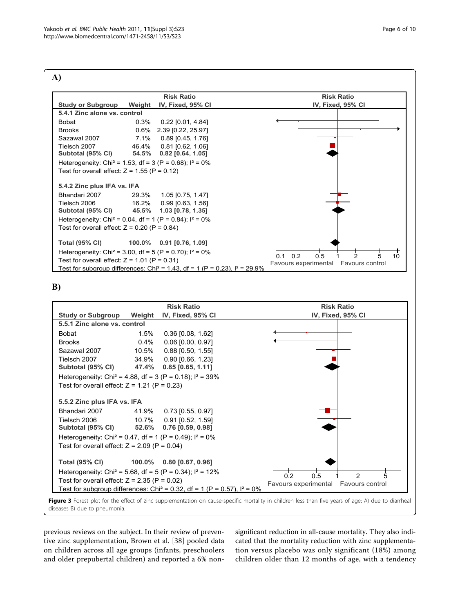<span id="page-5-0"></span>

#### **B)**



Figure 3 Forest plot for the effect of zinc supplementation on cause-specific mortality in children less than five years of age: A) due to diarrheal diseases B) due to pneumonia.

previous reviews on the subject. In their review of preventive zinc supplementation, Brown et al. [[38\]](#page-9-0) pooled data on children across all age groups (infants, preschoolers and older prepubertal children) and reported a 6% nonsignificant reduction in all-cause mortality. They also indicated that the mortality reduction with zinc supplementation versus placebo was only significant (18%) among children older than 12 months of age, with a tendency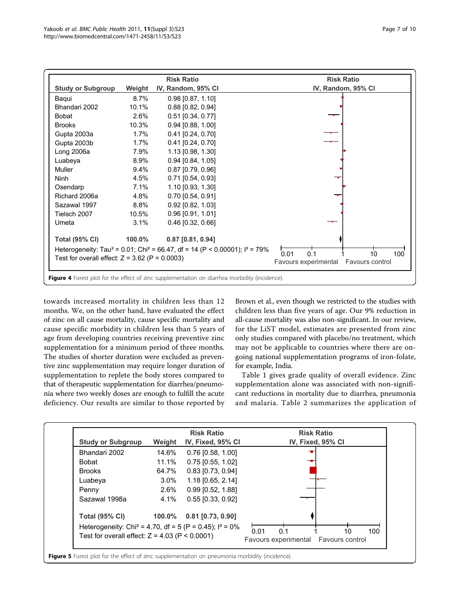<span id="page-6-0"></span>

towards increased mortality in children less than 12 months. We, on the other hand, have evaluated the effect of zinc on all cause mortality, cause specific mortality and cause specific morbidity in children less than 5 years of age from developing countries receiving preventive zinc supplementation for a minimum period of three months. The studies of shorter duration were excluded as preventive zinc supplementation may require longer duration of supplementation to replete the body stores compared to that of therapeutic supplementation for diarrhea/pneumonia where two weekly doses are enough to fulfill the acute deficiency. Our results are similar to those reported by

Brown et al., even though we restricted to the studies with children less than five years of age. Our 9% reduction in all-cause mortality was also non-significant. In our review, for the LiST model, estimates are presented from zinc only studies compared with placebo/no treatment, which may not be applicable to countries where there are ongoing national supplementation programs of iron-folate, for example, India.

Table [1](#page-7-0) gives grade quality of overall evidence. Zinc supplementation alone was associated with non-significant reductions in mortality due to diarrhea, pneumonia and malaria. Table [2](#page-7-0) summarizes the application of



Figure 5 Forest plot for the effect of zinc supplementation on pneumonia morbidity (incidence).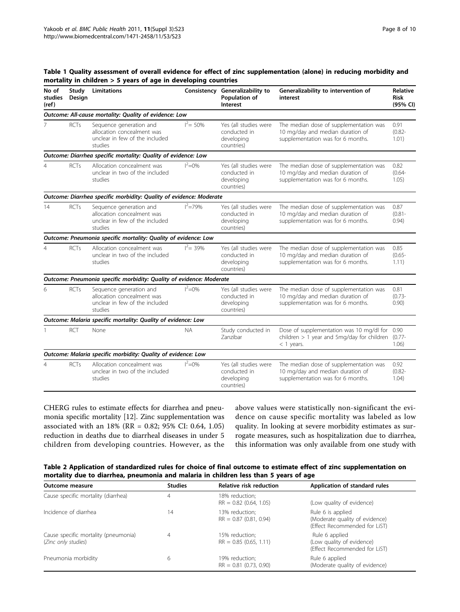| No of<br>studies<br>(ref)                              | Study<br>Design | Limitations                                                                                        | Consistency  | Generalizability to<br>Population of<br>Interest                  | Generalizability to intervention of<br>interest                                                                 | <b>Relative</b><br><b>Risk</b><br>(95% CI) |  |  |
|--------------------------------------------------------|-----------------|----------------------------------------------------------------------------------------------------|--------------|-------------------------------------------------------------------|-----------------------------------------------------------------------------------------------------------------|--------------------------------------------|--|--|
| Outcome: All-cause mortality: Quality of evidence: Low |                 |                                                                                                    |              |                                                                   |                                                                                                                 |                                            |  |  |
| 7                                                      | <b>RCTs</b>     | Sequence generation and<br>allocation concealment was<br>unclear in few of the included<br>studies | $I^2 = 50\%$ | Yes (all studies were<br>conducted in<br>developing<br>countries) | The median dose of supplementation was<br>10 mg/day and median duration of<br>supplementation was for 6 months. | 0.91<br>$(0.82 -$<br>1.01)                 |  |  |
|                                                        |                 | Outcome: Diarrhea specific mortality: Quality of evidence: Low                                     |              |                                                                   |                                                                                                                 |                                            |  |  |
| $\overline{4}$                                         | <b>RCTs</b>     | Allocation concealment was<br>unclear in two of the included<br>studies                            | $I^2 = 0\%$  | Yes (all studies were<br>conducted in<br>developing<br>countries) | The median dose of supplementation was<br>10 mg/day and median duration of<br>supplementation was for 6 months. | 0.82<br>$(0.64 -$<br>1.05)                 |  |  |
|                                                        |                 | Outcome: Diarrhea specific morbidity: Quality of evidence: Moderate                                |              |                                                                   |                                                                                                                 |                                            |  |  |
| 14                                                     | <b>RCTs</b>     | Sequence generation and<br>allocation concealment was<br>unclear in few of the included<br>studies | $I^2 = 79%$  | Yes (all studies were<br>conducted in<br>developing<br>countries) | The median dose of supplementation was<br>10 mg/day and median duration of<br>supplementation was for 6 months. | 0.87<br>$(0.81 -$<br>0.94)                 |  |  |
|                                                        |                 | Outcome: Pneumonia specific mortality: Quality of evidence: Low                                    |              |                                                                   |                                                                                                                 |                                            |  |  |
| $\overline{4}$                                         | <b>RCTs</b>     | Allocation concealment was<br>unclear in two of the included<br>studies                            | $I^2 = 39\%$ | Yes (all studies were<br>conducted in<br>developing<br>countries) | The median dose of supplementation was<br>10 mg/day and median duration of<br>supplementation was for 6 months. | 0.85<br>$(0.65 -$<br>1.11)                 |  |  |
|                                                        |                 | Outcome: Pneumonia specific morbidity: Quality of evidence: Moderate                               |              |                                                                   |                                                                                                                 |                                            |  |  |
| 6                                                      | <b>RCTs</b>     | Sequence generation and<br>allocation concealment was<br>unclear in few of the included<br>studies | $I^2 = 0\%$  | Yes (all studies were<br>conducted in<br>developing<br>countries) | The median dose of supplementation was<br>10 mg/day and median duration of<br>supplementation was for 6 months. | 0.81<br>$(0.73 -$<br>0.90)                 |  |  |
|                                                        |                 | Outcome: Malaria specific mortality: Quality of evidence: Low                                      |              |                                                                   |                                                                                                                 |                                            |  |  |
|                                                        | <b>RCT</b>      | None                                                                                               | <b>NA</b>    | Study conducted in<br>Zanzibar                                    | Dose of supplementation was 10 mg/dl for 0.90<br>children $> 1$ year and 5mg/day for children<br>$<$ 1 years.   | $(0.77 -$<br>1.06)                         |  |  |
|                                                        |                 | Outcome: Malaria specific morbidity: Quality of evidence: Low                                      |              |                                                                   |                                                                                                                 |                                            |  |  |
| $\overline{4}$                                         | <b>RCTs</b>     | Allocation concealment was<br>unclear in two of the included<br>studies                            | $I^2 = 0\%$  | Yes (all studies were<br>conducted in<br>developing<br>countries) | The median dose of supplementation was<br>10 mg/day and median duration of<br>supplementation was for 6 months. | 0.92<br>$(0.82 -$<br>1.04)                 |  |  |

# <span id="page-7-0"></span>Table 1 Quality assessment of overall evidence for effect of zinc supplementation (alone) in reducing morbidity and mortality in children > 5 years of age in developing countries

CHERG rules to estimate effects for diarrhea and pneumonia specific mortality [\[12](#page-9-0)]. Zinc supplementation was associated with an 18% (RR = 0.82; 95% CI: 0.64, 1.05) reduction in deaths due to diarrheal diseases in under 5 children from developing countries. However, as the

above values were statistically non-significant the evidence on cause specific mortality was labeled as low quality. In looking at severe morbidity estimates as surrogate measures, such as hospitalization due to diarrhea, this information was only available from one study with

| Table 2 Application of standardized rules for choice of final outcome to estimate effect of zinc supplementation on |
|---------------------------------------------------------------------------------------------------------------------|
| mortality due to diarrhea, pneumonia and malaria in children less than 5 years of age                               |

| Outcome measure                                             | <b>Studies</b> | <b>Relative risk reduction</b>             | Application of standard rules                                                        |  |
|-------------------------------------------------------------|----------------|--------------------------------------------|--------------------------------------------------------------------------------------|--|
| Cause specific mortality (diarrhea)                         | 4              | 18% reduction;<br>$RR = 0.82$ (0.64, 1.05) | (Low quality of evidence)                                                            |  |
| Incidence of diarrhea                                       | 14             | 13% reduction:<br>$RR = 0.87$ (0.81, 0.94) | Rule 6 is applied<br>(Moderate quality of evidence)<br>(Effect Recommended for LiST) |  |
| Cause specific mortality (pneumonia)<br>(Zinc only studies) | 4              | 15% reduction:<br>$RR = 0.85$ (0.65, 1.11) | Rule 6 applied<br>(Low quality of evidence)<br>(Effect Recommended for LiST)         |  |
| Pneumonia morbidity                                         | 6              | 19% reduction;<br>$RR = 0.81$ (0.73, 0.90) | Rule 6 applied<br>(Moderate quality of evidence)                                     |  |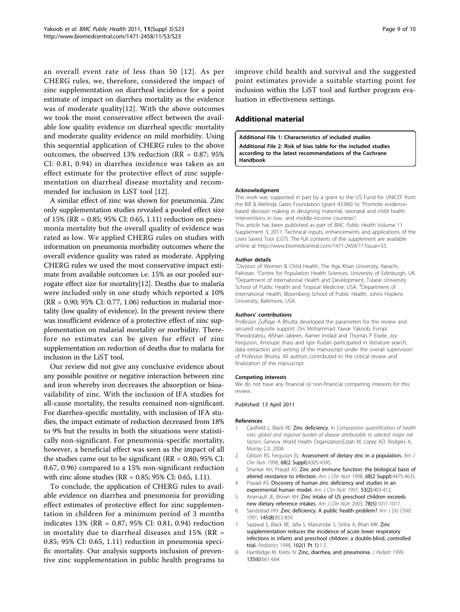<span id="page-8-0"></span>an overall event rate of less than 50 [[12\]](#page-9-0). As per CHERG rules, we, therefore, considered the impact of zinc supplementation on diarrheal incidence for a point estimate of impact on diarrhea mortality as the evidence was of moderate quality[[12](#page-9-0)]. With the above outcomes we took the most conservative effect between the available low quality evidence on diarrheal specific mortality and moderate quality evidence on mild morbidity. Using this sequential application of CHERG rules to the above outcomes, the observed 13% reduction (RR = 0.87; 95% CI: 0.81, 0.94) in diarrhea incidence was taken as an effect estimate for the protective effect of zinc supplementation on diarrheal disease mortality and recommended for inclusion in LiST tool [[12\]](#page-9-0).

A similar effect of zinc was shown for pneumonia. Zinc only supplementation studies revealed a pooled effect size of 15% (RR = 0.85; 95% CI: 0.65, 1.11) reduction on pneumonia mortality but the overall quality of evidence was rated as low. We applied CHERG rules on studies with information on pneumonia morbidity outcomes where the overall evidence quality was rated as moderate. Applying CHERG rules we used the most conservative impact estimate from available outcomes i.e. 15% as our pooled surrogate effect size for mortality[[12](#page-9-0)]. Deaths due to malaria were included only in one study which reported a 10% (RR = 0.90; 95% CI: 0.77, 1.06) reduction in malarial mortality (low quality of evidence). In the present review there was insufficient evidence of a protective effect of zinc supplementation on malarial mortality or morbidity. Therefore no estimates can be given for effect of zinc supplementation on reduction of deaths due to malaria for inclusion in the LiST tool.

Our review did not give any conclusive evidence about any possible positive or negative interaction between zinc and iron whereby iron decreases the absorption or bioavailability of zinc. With the inclusion of IFA studies for all-cause mortality, the results remained non-significant. For diarrhea-specific mortality, with inclusion of IFA studies, the impact estimate of reduction decreased from 18% to 9% but the results in both the situations were statistically non-significant. For pneumonia-specific mortality, however, a beneficial effect was seen as the impact of all the studies came out to be significant ( $RR = 0.80$ ;  $95\%$  CI: 0.67, 0.96) compared to a 15% non-significant reduction with zinc alone studies (RR = 0.85; 95% CI: 0.65, 1.11).

To conclude, the application of CHERG rules to available evidence on diarrhea and pneumonia for providing effect estimates of protective effect for zinc supplementation in children for a minimum period of 3 months indicates 13% (RR = 0.87; 95% CI: 0.81, 0.94) reduction in mortality due to diarrheal diseases and  $15\%$  (RR = 0.85; 95% CI: 0.65, 1.11) reduction in pneumonia specific mortality. Our analysis supports inclusion of preventive zinc supplementation in public health programs to improve child health and survival and the suggested point estimates provide a suitable starting point for inclusion within the LiST tool and further program evaluation in effectiveness settings.

#### Additional material

[Additional File 1:](http://www.biomedcentral.com/content/supplementary/1471-2458-11-S3-S23-S1.xlsx) Characteristics of included studies [Additional File 2:](http://www.biomedcentral.com/content/supplementary/1471-2458-11-S3-S23-S2.xlsx) Risk of bias table for the included studies according to the latest recommendations of the Cochrane Handbook

#### Acknowledgment

This work was supported in part by a grant to the US Fund for UNICEF from the Bill & Melinda Gates Foundation (grant 43386) to "Promote evidencebased decision making in designing maternal, neonatal and child health interventions in low- and middle-income countries".

This article has been published as part of BMC Public Health Volume 11 Supplement 3, 2011: Technical inputs, enhancements and applications of the Lives Saved Tool (LiST). The full contents of the supplement are available online at<http://www.biomedcentral.com/1471-2458/11?issue=S3>.

#### Author details

<sup>1</sup> Division of Women & Child Health, The Aga Khan University, Karachi, Pakistan. <sup>2</sup>Centre for Population Health Sciences, University of Edinburgh, UK.<br><sup>3</sup>Denartment of International Health and Development Tulane University. <sup>3</sup>Department of International Health and Development, Tulane University School of Public Health and Tropical Medicine, USA. <sup>4</sup>Department of International Health, Bloomberg School of Public Health, Johns Hopkins University, Baltimore, USA.

#### Authors' contributions

Professor Zulfiqar A Bhutta developed the parameters for the review and secured requisite support. Drs Mohammad Yawar Yakoob, Evropi Theodoratou, Afshan Jabeen, Aamer Imdad and Thomas P Eisele, Joy Ferguson, Arnoupe Jhass and Igor Rudan participated in literature search, data extraction and writing of the manuscript under the overall supervision of Professor Bhutta. All authors contributed to the critical review and finalization of the manuscript.

#### Competing interests

We do not have any financial or non-financial competing interests for this review.

#### Published: 13 April 2011

#### References

- 1. Caulfield L, Black RE: Zinc deficiency. In Comparative quantification of health risks: global and regional burden of disease attributable to selected major risk factors. Geneva: World Health Organization;Ezzati M, Lopez AD, Rodgers A, Murray CJL 2004.
- 2. Gibson RS, Ferguson EL: [Assessment of dietary zinc in a population.](http://www.ncbi.nlm.nih.gov/pubmed/9701157?dopt=Abstract) Am J Clin Nutr 1998, 68(2 Suppl):430S-434S.
- Shankar AH, Prasad AS: [Zinc and immune function: the biological basis of](http://www.ncbi.nlm.nih.gov/pubmed/9701160?dopt=Abstract) [altered resistance to infection.](http://www.ncbi.nlm.nih.gov/pubmed/9701160?dopt=Abstract) Am J Clin Nutr 1998, 68(2 Suppl):447S-463S.
- 4. Prasad AS: [Discovery of human zinc deficiency and studies in an](http://www.ncbi.nlm.nih.gov/pubmed/1989405?dopt=Abstract) [experimental human model.](http://www.ncbi.nlm.nih.gov/pubmed/1989405?dopt=Abstract) Am J Clin Nutr 1991, 53(2):403-412.
- 5. Arsenault JE, Brown KH: [Zinc intake of US preschool children exceeds](http://www.ncbi.nlm.nih.gov/pubmed/14594789?dopt=Abstract) [new dietary reference intakes.](http://www.ncbi.nlm.nih.gov/pubmed/14594789?dopt=Abstract) Am J Clin Nutr 2003, 78(5):1011-1017.
- 6. Sandstead HH: [Zinc deficiency. A public health problem?](http://www.ncbi.nlm.nih.gov/pubmed/1858720?dopt=Abstract) Am J Dis Child 1991, 145(8):853-859.
- 7. Sazawal S, Black RE, Jalla S, Mazumdar S, Sinha A, Bhan MK: [Zinc](http://www.ncbi.nlm.nih.gov/pubmed/9651405?dopt=Abstract) [supplementation reduces the incidence of acute lower respiratory](http://www.ncbi.nlm.nih.gov/pubmed/9651405?dopt=Abstract) [infections in infants and preschool children: a double-blind, controlled](http://www.ncbi.nlm.nih.gov/pubmed/9651405?dopt=Abstract) [trial.](http://www.ncbi.nlm.nih.gov/pubmed/9651405?dopt=Abstract) Pediatrics 1998, 102(1 Pt 1):1-5.
- 8. Hambidge M, Krebs N: [Zinc, diarrhea, and pneumonia.](http://www.ncbi.nlm.nih.gov/pubmed/10586164?dopt=Abstract) J Pediatr 1999, 135(6):661-664.